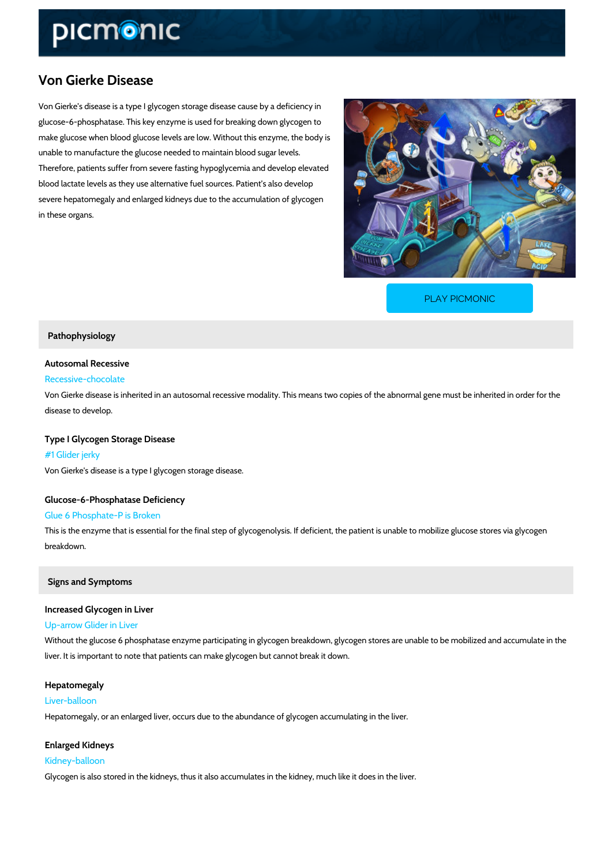## Von Gierke Disease

Von Gierke s disease is a type I glycogen storage disease cause by a deficiency in glucose-6-phosphatase. This key enzyme is used for breaking down glycogen to make glucose when blood glucose levels are low. Without this enzyme, the body is unable to manufacture the glucose needed to maintain blood sugar levels. Therefore, patients suffer from severe fasting hypoglycemia and develop elevated blood lactate levels as they use alternative fuel sources. Patient s also develop severe hepatomegaly and enlarged kidneys due to the accumulation of glycogen in these organs.

[PLAY PICMONIC](https://www.picmonic.com/learn/von-gierke-disease_2542?utm_source=downloadable_content&utm_medium=distributedcontent&utm_campaign=pathways_pdf&utm_content=Von Gierke Disease&utm_ad_group=leads&utm_market=all)

Pathophysiology

Autosomal Recessive

Recessive-chocolate

Von Gierke disease is inherited in an autosomal recessive modality. This means two copies of disease to develop.

Type I Glycogen Storage Disease #1 Glider jerky Von Gierke's disease is a type I glycogen storage disease.

Glucose-6-Phosphatase Deficiency Glue 6 Phosphate-P is Broken This is the enzyme that is essential for the final step of glycogenolysis. If deficient, the patient breakdown.

Signs and Symptoms

Increased Glycogen in Liver Up-arrow Glider in Liver Without the glucose 6 phosphatase enzyme participating in glycogen breakdown, glycogen stor liver. It is important to note that patients can make glycogen but cannot break it down.

Hepatomegaly Liver-balloon Hepatomegaly, or an enlarged liver, occurs due to the abundance of glycogen accumulating in

Enlarged Kidneys Kidney-balloon Glycogen is also stored in the kidneys, thus it also accumulates in the kidney, much like it do